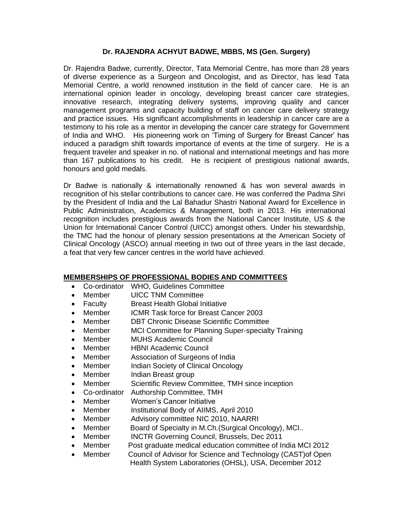## **Dr. RAJENDRA ACHYUT BADWE, MBBS, MS (Gen. Surgery)**

Dr. Rajendra Badwe, currently, Director, Tata Memorial Centre, has more than 28 years of diverse experience as a Surgeon and Oncologist, and as Director, has lead Tata Memorial Centre, a world renowned institution in the field of cancer care. He is an international opinion leader in oncology, developing breast cancer care strategies, innovative research, integrating delivery systems, improving quality and cancer management programs and capacity building of staff on cancer care delivery strategy and practice issues. His significant accomplishments in leadership in cancer care are a testimony to his role as a mentor in developing the cancer care strategy for Government of India and WHO. His pioneering work on 'Timing of Surgery for Breast Cancer' has induced a paradigm shift towards importance of events at the time of surgery. He is a frequent traveler and speaker in no. of national and international meetings and has more than 167 publications to his credit. He is recipient of prestigious national awards, honours and gold medals.

Dr Badwe is nationally & internationally renowned & has won several awards in recognition of his stellar contributions to cancer care. He was conferred the Padma Shri by the President of India and the Lal Bahadur Shastri National Award for Excellence in Public Administration, Academics & Management, both in 2013. His international recognition includes prestigious awards from the National Cancer Institute, US & the Union for International Cancer Control (UICC) amongst others. Under his stewardship, the TMC had the honour of plenary session presentations at the American Society of Clinical Oncology (ASCO) annual meeting in two out of three years in the last decade, a feat that very few cancer centres in the world have achieved.

## **MEMBERSHIPS OF PROFESSIONAL BODIES AND COMMITTEES**

- Co-ordinator WHO, Guidelines Committee
- Member UICC TNM Committee
- Faculty Breast Health Global Initiative
- Member ICMR Task force for Breast Cancer 2003
- Member DBT Chronic Disease Scientific Committee
- Member MCI Committee for Planning Super-specialty Training
- Member MUHS Academic Council
- Member **HBNI Academic Council**
- Member Association of Surgeons of India
- Member Indian Society of Clinical Oncology
- Member Indian Breast group
- Member Scientific Review Committee, TMH since inception
- Co-ordinator Authorship Committee, TMH
- Member Women's Cancer Initiative
- Member Institutional Body of AIIMS, April 2010
- Member Advisory committee NIC 2010, NAARRI
- Member Board of Specialty in M.Ch. (Surgical Oncology), MCI..
- Member INCTR Governing Council, Brussels, Dec 2011
- Member Post graduate medical education committee of India MCI 2012
- Member Council of Advisor for Science and Technology (CAST) of Open Health System Laboratories (OHSL), USA, December 2012